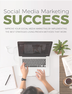# Social Media Marketing SUCCESS

IMPROVE YOUR SOCIAL MEDIA MARKETING BY IMPLEMENTING THE BEST STRATEGIES USING PROVEN METHODS THAT WORK

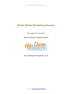# **Social Media Marketing Success**

**Brought To You By**

**WEB DESIGN IMAGINEERS**



www.webdesign-imagineers.co.uk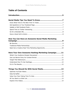# **Table of Contents**

# **How You Can Have an Awesome Social Media Marketing**

| Seek Out a Creative Real Time Marketing Opportunity10 |  |
|-------------------------------------------------------|--|

# **Have Your Own Awesome Hashtag Marketing Campaign........11**

| Things You Should Do With Social Media13 |  |
|------------------------------------------|--|
|                                          |  |
|                                          |  |
|                                          |  |
|                                          |  |

Explore Vine Videos...................................................................................14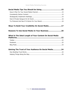| Ways To Build Your Credibility On Social Media17         |  |
|----------------------------------------------------------|--|
| Reasons To Use Social Media In Your Business20           |  |
|                                                          |  |
| What Is The Ideal Length of Your Content On Social Media |  |
|                                                          |  |
|                                                          |  |
|                                                          |  |
|                                                          |  |
| Gaining The Trust of Your Audience On Social Media24     |  |
|                                                          |  |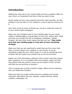# **Introduction**

Getting the most out of your social media will have a positive effect on your return on investment and that's what you want to see.

Social media can be a very powerful tool when used correctly, but the problem is far too often it's not utilised in a way to get the most out of it.

Let's have a look at some of things you can do to make the most out of your social media campaigns.

Make sure you navigate users to your landing page via your social media. A landing page is a great place to have your visitors land. Make sure that you include this link on Facebook, Instagram, Twitter, Google+ and any other social media channels you use. **Then make sure that your landing page is a key part of your marketing strategy**.

Make sure that you are watching for posts that are from users that have a concern about your company or your brand. It can be something simple like your return policy or it can be something more complex like the impact your product has on the environment.

Gather all of the information relating to their concern and then answer their questions. If it is a problem with your product, make sure that they person with the concern knows you are aware of their concern and that you are working on answers.

This is a great way to build a positive image. Others will be watching how you handle the situation.

Make sure that you create profiles that are complete and include important information like your website, contact persons, phone numbers, addresses, etc.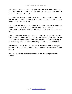This will build confidence among your followers that you are legit and that they can reach you should they need to. The more open you are, the more trust you will build.

When you are posting to your social media channels make sure that you are posting information that is valuable and informative. In other words, don't post just to post.

If you have not anything interesting to say your followers will become annoyed and they may stop following you. There's plenty of information that comes across a newsfeed, make sure yours is worth seeing.

Take advantage of the various formats there are. Some formats are better for some industries than others. For example, YouTube can be a great choice if you can show your followers how to use something or do something, or if you offer something of visual or audio interest.

Twitter can be really good for industries that have short messages they want to share often, such as changing stock or sales throughout the day.

Make the most out of your social media and you'll enjoy the real benefits.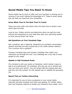# **Social Media Tips You Need To Know**

Social media has so much to offer and your business is missing out on revenue if you aren't taking full advantage of it. These 6 social media tips will help you maximize your marketing.

#### **Know What Time Is The Best Time To Tweet**

There are some solid rules about when the best time to tweet is and which days are best.

Look at your Twitter activity and determine when you get the most activity and interaction on your feed then plan your upcoming tweets to work around those 'hot' times.

#### **Ask Questions on Your Facebook Page**

Ask a question, get a response. Questions are excellent conversation starters and they are also a good way to do a little market research. Turn a picture into a question.

Choose a trending topic and include a hashtag, then watch your interaction go through the roof. Your hashtags are a key way to draw people to your page.

#### **Update or Edit Facebook Posts**

It's a breeze to edit your posts on Facebook, which makes it easy to add to an existing post. For example, let's say you ran a contest and now you have your winner. You can simply edit the original post and add who won the contest. It's the easiest way to validate the giveaway too.

#### **Spend Time on Twitter Interacting**

It's important for you to have a presence on your social media channels and that includes more than just posting. On Twitter rather than just tweeting respond to tweets your followers have made. You'll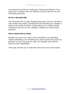be amazed at how this can really grow interest and followers. It's a great way to connect with your followers and they feel like you are connecting with them.

#### **Go for a Branded URL**

The shortened URL is pretty standard these days. But you can take it even further and create a branded URL that will keep your website or brand in the minds of visitors. It also helps you to create tracking information that can be very valuable in helping you make sound decisions.

#### **Have a Good Call to Action**

Whether you want your visitor to buy something, say something, explore something or do something you need a good call to action to get them to act in the way you want. For example, save 40% by entering code TodaySale20.

These tips will help you to make the most out of your social media.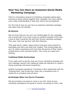# **How You Can Have an Awesome Social Media Marketing Campaign**

There's a tremendous amount of marketing campaigns taking place. Everyone is busily putting together their campaign, but many without even a little understanding of what they need to be accomplished.

So, let's look at how you can have an awesome marketing campaign and really enjoy the benefits.

# **Be Genuine**

Did you know that you can turn your landing page for your campaign into a social hub? If you want to see an excellent example of this have a look at what Travelocity did with their Gnome marketing campaign. They were 'real' and 'genuine' with their followers.

Their goal was to create a space where consumers were inspired to participate and that's just what they created. Their landing page has over 32 million impressions and more than 95 percent of their visitors scrolled down to the comment section. This is how you need to be thinking.

# **Traditional Media Partnerships**

If you really want to get the most out of your marketing campaign and your hashtags, partner with traditional media like television to create a strong awareness and brand recognitions.

Another successful example for Travelocity is their partnership with the "Amazing Race" that turned their name into a household word. It makes for an excellent jump off point.

# **Be Strategic When You Pay for Promotion**

Not all promotions are going to come to you free. Some of your marketing campaign(s) are going to involve you paying for them. How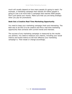much will usually depend on how many people it's going to reach. For example, a marketing campaign that reaches 50 million people is going to cost a lot more than a campaign that reaches 5000 people. Don't just spend your money. Make sure that you are being strategic when you pay for promotions.

#### **Seek Out a Creative Real Time Marketing Opportunity**

You need to keep your marketing campaign fresh and interesting. The best way to do this is to be creative and find a real time marketing opportunity that connects with current trends and interests.

The success of any marketing campaign is measured by the results you achieve. You need to measure your metrics, including your social metrics and brand metrics to tell how effective your marketing campaign is. Then tweak or change accordingly.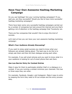# **Have Your Own Awesome Hashtag Marketing Campaign**

Do you use hashtags? Are your running hashtag campaigns? If you said yes, are they successful? Would you like to have more successful hashtag marketing campaigns?

There have been some very successful hashtag campaigns carried out by a number of companies but look around the internet and one that's getting a lot of attention is the hashtag campaign that Travelocity ran.

There are few companies that wouldn't like to enjoy this kind of success.

Let's look at how you can have your own awesome hashtag marketing *campaign:*

# **What's Your Audience Already Discussing?**

If you want to enjoy great success you need to know what your followers are already talking about. The best way to do this is to simply ask them and then let them dialogue among each other.

For example, if you sell smart phones and you want to know what it is your audience is looking for out of smart phone then ask them.

# **Use Low Barrier Entry for Contest Entries**

Make it easy for them to participate whether that's in a dialogue or a contest. If you are running a contest minimize your channels. Pick two or three ways they can enter.

For example, Facebook, Google+ and Instagram. Make it easy to entry by keeping the form they need to fill out simple and the entry process easy.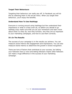#### **Target Their Behaviours**

Targeting their behaviour can really pay off. In Facebook you will do this by selecting them in the ad set menu. When you target their behaviour, you'll enjoy the benefits.

#### **Understand How To Use Hashtags**

Everyone is running around using hashtags but few understand their importance or what it is they even do, so before you decide to go hashtag crazy make sure that you do your homework and learn more about what it is they do, how they function, why they are so important to your marketing campaigns, and how to use them correctly.

#### **It's In The Results**

The success of your campaign is in the results you achieve. You can measure social metrics like engagement and impressions. You can also measure brand metrics to determine the growth in brand recognition.

There are tons of factors that contribute to your success, but letting your followers have a voice and letting followers inspire other followers can make a huge difference in the success of your marketing campaign.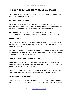# **Things You Should Do With Social Media**

If you want to get the most out of your social media campaigns, you should incorporate these 4 things.

#### **Optimise YouTube Videos**

The second largest search engine next to Google is YouTube. If you want the best exposure you need to make sure that you optimise your YouTube video titles and descriptions with your keywords.

For Example, Nike Runners would be detailed using a strong introductory sentence that focuses on your keyword Nike runners.

# **Daily By Buffer**

If you aren't familiar with 'Daily by Buffer' then it's time you were. If you want a quick way to find new content and then share it with your audience this is it.

This free iOS app is the creation of Buffer who is one of the most used social media management and scheduling tools. Buffer makes it easy to share content with its latest app.

#### **Value Your Fans Taking Time To Vote**

There are tons of ways you can use social media to discover more about your audience. Creating a poll where you ask your followers to vote is one way and it's a good way.

Asking your followers for their opinion is a win-win because you gain information you need, and your followers feel like they have a say.

# **All You Want is a Wish List**

Social media is a great way to tap into your audiences needs and to encourage them to add something to their wish list. This call to action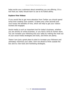helps excite your customers about something you are offering. It's a tool that you really should learn to use to its fullest ability.

#### **Explore Vine Videos**

If you would like to get more attention from Twitter you should spend some time creating Vine content. It takes only a few seconds and you'll enjoy the benefits of Vine, which will help to get your visitors excited and engaged.

Social media is such an important tool for today's business, whether you are strictly an online business, or you have a brick & mortar store. You can increase your following and your sales by making the most out of your social media strategies and tools, and there are plenty.

These 4 are just a great place to start to increase your followers and ultimately maximize your sales. Don't be afraid to think outside the box and try new tools and marketing strategies.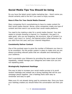# **Social Media Tips You Should be Using**

Do you have the latest social media marketing tips – Here's some you should certainly add to the list if you want to enjoy success.

# **Have A Plan For Your Social Media Channel**

Many companies find it overwhelming to have to create content for their social media channel. Worse, some companies create one type of content and then send it out across their social media platforms.

You need to be creating a plan for a social media channel. Your plan needs to include choosing a channel (i.e. Facebook), the goal (i.e. sales goal), who you are targeting, the structure, type of content (i.e. video), your tone (i.e. funny), the desired action (what behaviour do you want from the user) and your channel integration.

# **Consistently Deliver Content**

One of the quickest ways to grow the number of followers you have is to be consistent. Put the proper system in place to make sure you are always providing relevant posts that are valuable and interesting to your audience.

Don't overwhelm your followers by providing the same types of posts repeatedly, instead manage your categories and make sure you are not repeating posts.

# **Strategically Implement Hashtags**

One way to help to increase your social media success is to avoid random hashtags and instead use a strong hashtag that will tie your campaign pieces together. Use a hashtag that's both easy to remember and easy to spell.

Make sure it's not already being used by someone else. Once you have your hashtag created you should follow the conversation and then join it.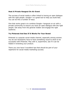# **Host A Private Hangout On Air Event**

The success of social media is often linked to having an open dialogue with the right people. Google+ is a great tool to help you build lists. You can do this a number of ways.

One that works great is to combine Google+ hangouts on air with a private community to ensure you have an open dialogue with the right people. Get away from the general chatter and engage the right audience.

#### **Try Pinterest And See If It Works For Your Brand**

Pinterest is a popular social media channel, especially among women. You do not necessarily have to have something visual to show to be successful with Pinterest. Play with it, experiment, see if it can be helpful in branding your product.

There you now have 5 excellent tips that should be part of your repertoire for social media marketing success.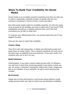# **Ways To Build Your Credibility On Social Media**

Social media is an incredibly powerful marketing tool that can help you to reach a potentially unlimited number of people with the very minimum investment in terms of time, money and effort.

But while social media might be incredibly powerful, it's still only going to be as good as the strategy you have in place and if you haven't first established yourself as a credible authority then you'll find that everything you do falls on deaf ears.

To improve your effectiveness then, you should make this one of your biggest focusses.

*Here are ten ways to build that credibility:*

# **Create a Blog**

Then fill it with well-researched, in-depth and informative posts and share them on social media. This is content marketing 101 and one of the best ways to establish trust and authority. If you can't write, hire someone who can to do it for you.

# **Build Followers**

Unfortunately, if you have a social media account with 14 followers, you will have a hard time convincing people to put stock in what you say. Of course, it shouldn't necessarily matter but it does. People see this as an indicator of your authority. So get to work growing that number.

#### **Be Personal**

People like to know that there's a real human being behind a social media account which can help to build trust and therefore credibility.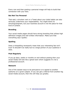Every now and then posting a personal image will help to build that connection with your fans.

#### **But Not Too Personal**

That said, a drunken rant or a Tweet about your toilet habits can also seriously undermine your respectability. You might think it's amusing/poignant, but your business account is not the place for that kind of content.

# **Branding**

Your social media pages should have strong branding that utilises high definition images and well written information. Make sure that everything says 'quality'.

# **Spelling**

Does a misspelling necessarily mean that your interesting fact isn't true? It shouldn't do really but to a large portion of your audience it does.

# **Post Regularly**

If you go days, weeks or months on end without posting then your social media will look like a ghost town which suggests it's not a professional account.

#### **Network**

One of the easiest ways to be persuasive is to appeal to another authority on a given subject. If you can get a referral from another big social media account, then this will help you greatly.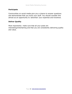#### **Participate**

Communities on social media give you a chance to answer questions and demonstrate that you know your stuff. You should consider this almost as an opportunity to 'advertise' your expertise and knowhow.

#### **Deliver Quality**

Most importantly: make sure that all your posts are interesting/entertaining and that you are consistently delivering quality and value.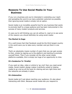# **Reasons To Use Social Media In Your Business**

If you run a business and you're interested in extending your reach and spreading the word to as many potential customers as possible, then ignoring social media is simply not an option.

Social media is an incredibly powerful tool for any business that wants to promote itself to a large audience and has been instrumental in the success of many modern products and services.

*In case you're still thinking you can do without it, read on to see some of the reasons you should definitely be using social media:*

# **The Market Is Huge**

It's a well-known fact that Facebook would be the third largest country in the world were you to take every member and put them in one place.

That's an absolutely insane number of users that you can gain access to then, simply by signing up to the platform and starting to promote yourself there. Then if you consider all the other social media platforms available, this is simply too huge of an opportunity to miss.

# **It's Conducive To 'Virality'**

If you want an idea, video or article to 'go viral' then you need social media. Social media's design makes it perfectly suited to helping media to go viral as all the tools for sharing and are right there and the networks are already in place.

# **It's Interactive**

Social media isn't just about reaching your audience, it's also about interacting with them. Because social media lets you respond to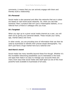comments, it means that you can actively engage with them and thereby build a relationship.

# **It's Personal**

Social media is also personal and often the networks that are in place are based on real-world social networks. So, when you see that someone 'likes' a product that isn't just a meaningless statistic, it is a referral from a friend or colleague who you trust.

# **It's Targeted**

When you sign up to a given social media channel as a user, you will start out by giving your personal details. These include your name, age, marital status and more.

In other words, you are providing tons of information that can then be used by businesses to identify their precise target demographic. You don't just have a huge market here but a tailored one!

# **And there's more!**

Social media has many benefits beyond these five though. Whether it's the incredible networking possibilities you're interested or the tools and apps that make it so easy to manage your accounts there are many more ways that social media sets itself apart as one of the most powerful tools available to businesses of all sizes.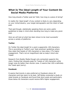# **What Is The Ideal Length of Your Content On Social Media Platforms**

How long should a Twitter post be? Well, how long is a piece of string?

In reality the 'ideal length' of any content is likely to vary depending on your niche/industry, your target demographic and the intent of said post.

That said though, statistically speaking there are some useful guidelines to keep in mind when deciding how long to make any given post.

*Here we will look at what has been shown to be most successful across a variety of platforms:*

# **Twitter**

On Twitter the ideal length for a post is apparently 100 characters. This is according to Twitter's own 'best practices' guidelines where they state that tweets of 100 characters or less enjoy 17% higher engagement. That's not an insignificant stat so keep it short and Tweet!

Research from Buddy Media though only somewhat supports this claim, finding that retweets peak for Tweets of 100 characters while longer ones do better than shorter ones. It seems that 100 is definitely the Tweet spot (sorry).

# **Facebook**

It seems that brevity is also preferred on Facebook where 40 characters and less seem to do best. Jeff Bullas conducted a study on retail brands on Facebook and found that short posts and particularly those below 40 characters would receive 86% higher engagement.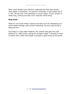Many more studies have similarly supported the idea that shorterdoes-better on Facebook. The point to remember is that people are in a rush. All the time. And especially on social media. If your content is really long, chances are they won't read the whole thing.

# **Blog Posts**

While it's not social media, chances are that you'll be integrating your social media strategy with content marketing. So how long should a blog post be?

According to a site called 'Medium' the content that gets the most attention is 1,600 words, taking the average reader 7 minutes to read. It seems that a little more depth is actually a good thing at this point!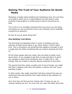# **Gaining The Trust of Your Audience On Social Media**

Marketing is largely about building and maintaining trust. It's one thing to be able to reach out to a huge audience but that doesn't mean anything if said audience is simply going to ignore everything you post.

This is why it's so incredibly important that you ensure you are doing everything you can to build the trust of your followers and to establish yourself as an authority.

So how do you go about doing that?

#### **How Building Trust Works**

The first thing to understand when it comes to building trust and authority through social media or any other means, is that it takes time. This is not going to be something that happens overnight or with a single post but rather something that you need to develop and build on.

At first when people read your posts, they are likely to pretty much ignore them. If you manage to get them to stop and take it in and if you manage to teach them something, then it might sink in. Still though, they are unlikely to become paying customers at this point.

The second time they notice a quality post of yours though, you might find that it registers with them and sparks a memory but only if your branding is good.

In other words, they might remember that they enjoyed the post you shared last time and therefore they might decide to pay attention to you in future.

Over time they will then go from 'taking note' of what you say, to 'actively seeking you out'. It's only once you reach this latter point that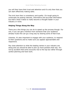you will then have their trust and attention and it's only then that you can start effectively making sales.

The trick here then is consistency and quality. It's tough going to continually be posting relevant, informative and accurate information but that's what it takes to really become a thought leader in your industry or niche.

#### **Helping Things Along the Way**

There are a few things you can do to speed up the process though. For one, if you can get a mention from someone that your audience already trusts this can go a long way by sharing some of that trust.

Likewise, it's also important to engage with your audience, to respond to their questions and to make sure you appear approachable and responsive.

Pay close attention to what the leading names in your industry are doing and you should be able to pick up more pointers that way. It's not by accident that some accounts rise to the top but rather through careful planning and hard work.